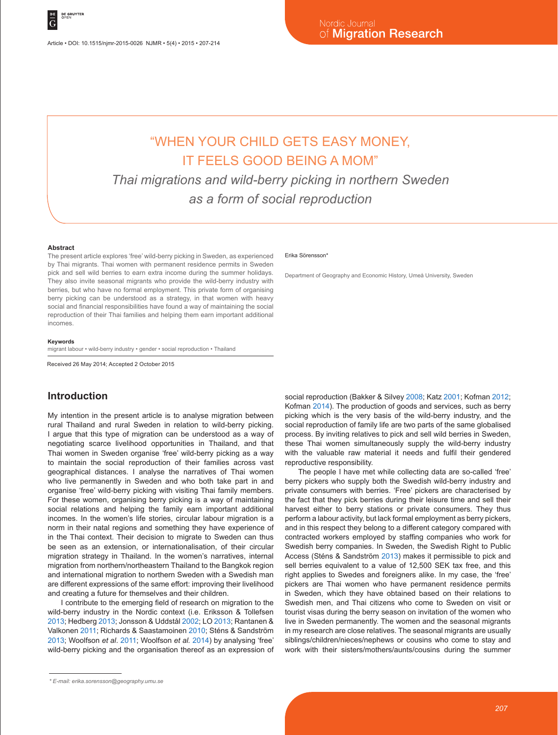# "WHEN YOUR CHILD GETS EASY MONEY, IT FEELS GOOD BEING A MOM"

*Thai migrations and wild-berry picking in northern Sweden as a form of social reproduction*

#### **Abstract**

The present article explores 'free' wild-berry picking in Sweden, as experienced by Thai migrants. Thai women with permanent residence permits in Sweden pick and sell wild berries to earn extra income during the summer holidays. They also invite seasonal migrants who provide the wild-berry industry with berries, but who have no formal employment. This private form of organising berry picking can be understood as a strategy, in that women with heavy social and financial responsibilities have found a way of maintaining the social reproduction of their Thai families and helping them earn important additional incomes.

#### **Keywords**

migrant labour • wild-berry industry • gender • social reproduction • Thailand

Received 26 May 2014; Accepted 2 October 2015

### **Introduction**

My intention in the present article is to analyse migration between rural Thailand and rural Sweden in relation to wild-berry picking. I argue that this type of migration can be understood as a way of negotiating scarce livelihood opportunities in Thailand, and that Thai women in Sweden organise 'free' wild-berry picking as a way to maintain the social reproduction of their families across vast geographical distances. I analyse the narratives of Thai women who live permanently in Sweden and who both take part in and organise 'free' wild-berry picking with visiting Thai family members. For these women, organising berry picking is a way of maintaining social relations and helping the family earn important additional incomes. In the women's life stories, circular labour migration is a norm in their natal regions and something they have experience of in the Thai context. Their decision to migrate to Sweden can thus be seen as an extension, or internationalisation, of their circular migration strategy in Thailand. In the women's narratives, internal migration from northern/northeastern Thailand to the Bangkok region and international migration to northern Sweden with a Swedish man are different expressions of the same effort: improving their livelihood and creating a future for themselves and their children.

I contribute to the emerging field of research on migration to the wild-berry industry in the Nordic context (i.e. Eriksson & Tollefsen 2013; Hedberg 2013; Jonsson & Uddstål 2002; LO 2013; Rantanen & Valkonen 2011; Richards & Saastamoinen 2010; Sténs & Sandström 2013; Woolfson *et al*. 2011; Woolfson *et al.* 2014) by analysing 'free' wild-berry picking and the organisation thereof as an expression of

#### Erika Sörensson\*

Department of Geography and Economic History, Umeå University, Sweden

social reproduction (Bakker & Silvey 2008; Katz 2001; Kofman 2012; Kofman 2014). The production of goods and services, such as berry picking which is the very basis of the wild-berry industry, and the social reproduction of family life are two parts of the same globalised process. By inviting relatives to pick and sell wild berries in Sweden, these Thai women simultaneously supply the wild-berry industry with the valuable raw material it needs and fulfil their gendered reproductive responsibility.

The people I have met while collecting data are so-called 'free' berry pickers who supply both the Swedish wild-berry industry and private consumers with berries. 'Free' pickers are characterised by the fact that they pick berries during their leisure time and sell their harvest either to berry stations or private consumers. They thus perform a labour activity, but lack formal employment as berry pickers, and in this respect they belong to a different category compared with contracted workers employed by staffing companies who work for Swedish berry companies. In Sweden, the Swedish Right to Public Access (Sténs & Sandström 2013) makes it permissible to pick and sell berries equivalent to a value of 12,500 SEK tax free, and this right applies to Swedes and foreigners alike. In my case, the 'free' pickers are Thai women who have permanent residence permits in Sweden, which they have obtained based on their relations to Swedish men, and Thai citizens who come to Sweden on visit or tourist visas during the berry season on invitation of the women who live in Sweden permanently. The women and the seasonal migrants in my research are close relatives. The seasonal migrants are usually siblings/children/nieces/nephews or cousins who come to stay and work with their sisters/mothers/aunts/cousins during the summer

*<sup>\*</sup> E-mail: erika.sorensson@geography.umu.se*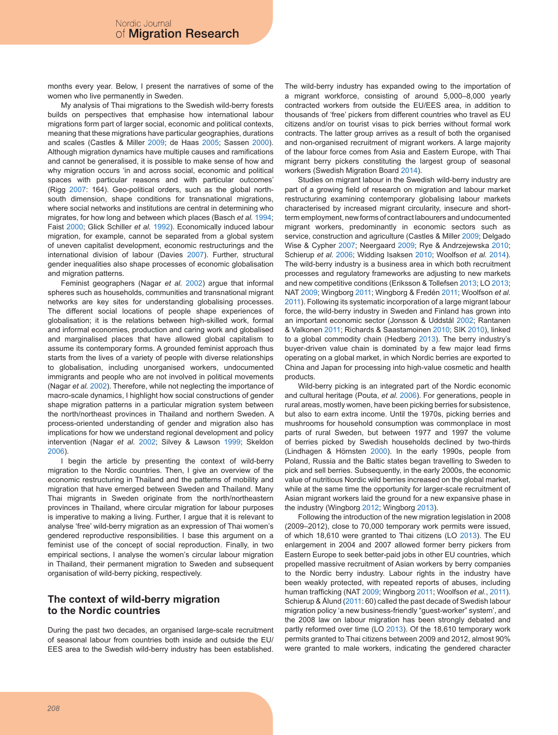months every year. Below, I present the narratives of some of the women who live permanently in Sweden.

My analysis of Thai migrations to the Swedish wild-berry forests builds on perspectives that emphasise how international labour migrations form part of larger social, economic and political contexts, meaning that these migrations have particular geographies, durations and scales (Castles & Miller 2009; de Haas 2005; Sassen 2000). Although migration dynamics have multiple causes and ramifications and cannot be generalised, it is possible to make sense of how and why migration occurs 'in and across social, economic and political spaces with particular reasons and with particular outcomes' (Rigg 2007: 164). Geo-political orders, such as the global northsouth dimension, shape conditions for transnational migrations, where social networks and institutions are central in determining who migrates, for how long and between which places (Basch *et al.* 1994; Faist 2000; Glick Schiller *et al.* 1992). Economically induced labour migration, for example, cannot be separated from a global system of uneven capitalist development, economic restructurings and the international division of labour (Davies 2007). Further, structural gender inequalities also shape processes of economic globalisation and migration patterns.

Feminist geographers (Nagar *et al.* 2002) argue that informal spheres such as households, communities and transnational migrant networks are key sites for understanding globalising processes. The different social locations of people shape experiences of globalisation; it is the relations between high-skilled work, formal and informal economies, production and caring work and globalised and marginalised places that have allowed global capitalism to assume its contemporary forms. A grounded feminist approach thus starts from the lives of a variety of people with diverse relationships to globalisation, including unorganised workers, undocumented immigrants and people who are not involved in political movements (Nagar *et al.* 2002). Therefore, while not neglecting the importance of macro-scale dynamics, I highlight how social constructions of gender shape migration patterns in a particular migration system between the north/northeast provinces in Thailand and northern Sweden. A process-oriented understanding of gender and migration also has implications for how we understand regional development and policy intervention (Nagar *et al.* 2002; Silvey & Lawson 1999; Skeldon 2006).

I begin the article by presenting the context of wild-berry migration to the Nordic countries. Then, I give an overview of the economic restructuring in Thailand and the patterns of mobility and migration that have emerged between Sweden and Thailand. Many Thai migrants in Sweden originate from the north/northeastern provinces in Thailand, where circular migration for labour purposes is imperative to making a living. Further, I argue that it is relevant to analyse 'free' wild-berry migration as an expression of Thai women's gendered reproductive responsibilities. I base this argument on a feminist use of the concept of social reproduction. Finally, in two empirical sections, I analyse the women's circular labour migration in Thailand, their permanent migration to Sweden and subsequent organisation of wild-berry picking, respectively.

### **The context of wild-berry migration to the Nordic countries**

During the past two decades, an organised large-scale recruitment of seasonal labour from countries both inside and outside the EU/ EES area to the Swedish wild-berry industry has been established. The wild-berry industry has expanded owing to the importation of a migrant workforce, consisting of around 5,000–8,000 yearly contracted workers from outside the EU/EES area, in addition to thousands of 'free' pickers from different countries who travel as EU citizens and/or on tourist visas to pick berries without formal work contracts. The latter group arrives as a result of both the organised and non-organised recruitment of migrant workers. A large majority of the labour force comes from Asia and Eastern Europe, with Thai migrant berry pickers constituting the largest group of seasonal workers (Swedish Migration Board 2014).

Studies on migrant labour in the Swedish wild-berry industry are part of a growing field of research on migration and labour market restructuring examining contemporary globalising labour markets characterised by increased migrant circularity, insecure and shortterm employment, new forms of contract labourers and undocumented migrant workers, predominantly in economic sectors such as service, construction and agriculture (Castles & Miller 2009; Delgado Wise & Cypher 2007; Neergaard 2009; Rye & Andrzejewska 2010; Schierup *et al.* 2006; Widding Isaksen 2010; Woolfson *et al.* 2014). The wild-berry industry is a business area in which both recruitment processes and regulatory frameworks are adjusting to new markets and new competitive conditions (Eriksson & Tollefsen 2013; LO 2013; NAT 2009; Wingborg 2011; Wingborg & Fredén 2011; Woolfson *et al*. 2011). Following its systematic incorporation of a large migrant labour force, the wild-berry industry in Sweden and Finland has grown into an important economic sector (Jonsson & Uddstål 2002; Rantanen & Valkonen 2011; Richards & Saastamoinen 2010; SIK 2010), linked to a global commodity chain (Hedberg 2013). The berry industry's buyer-driven value chain is dominated by a few major lead firms operating on a global market, in which Nordic berries are exported to China and Japan for processing into high-value cosmetic and health products.

Wild-berry picking is an integrated part of the Nordic economic and cultural heritage (Pouta, *et al.* 2006). For generations, people in rural areas, mostly women, have been picking berries for subsistence, but also to earn extra income. Until the 1970s, picking berries and mushrooms for household consumption was commonplace in most parts of rural Sweden, but between 1977 and 1997 the volume of berries picked by Swedish households declined by two-thirds (Lindhagen & Hörnsten 2000). In the early 1990s, people from Poland, Russia and the Baltic states began travelling to Sweden to pick and sell berries. Subsequently, in the early 2000s, the economic value of nutritious Nordic wild berries increased on the global market, while at the same time the opportunity for larger-scale recruitment of Asian migrant workers laid the ground for a new expansive phase in the industry (Wingborg 2012; Wingborg 2013).

Following the introduction of the new migration legislation in 2008 (2009–2012), close to 70,000 temporary work permits were issued, of which 18,610 were granted to Thai citizens (LO 2013). The EU enlargement in 2004 and 2007 allowed former berry pickers from Eastern Europe to seek better-paid jobs in other EU countries, which propelled massive recruitment of Asian workers by berry companies to the Nordic berry industry. Labour rights in the industry have been weakly protected, with repeated reports of abuses, including human trafficking (NAT 2009; Wingborg 2011; Woolfson *et al.*, 2011). Schierup & Ålund (2011: 60) called the past decade of Swedish labour migration policy 'a new business-friendly "guest-worker" system', and the 2008 law on labour migration has been strongly debated and partly reformed over time (LO 2013). Of the 18,610 temporary work permits granted to Thai citizens between 2009 and 2012, almost 90% were granted to male workers, indicating the gendered character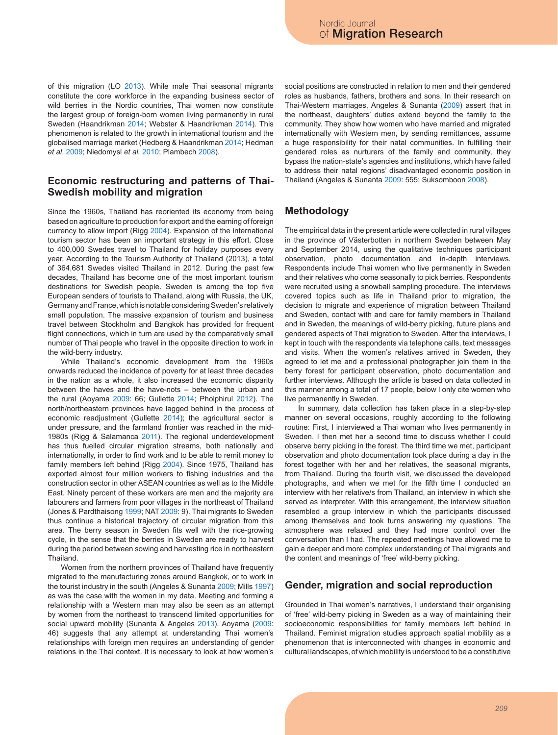of this migration (LO 2013). While male Thai seasonal migrants constitute the core workforce in the expanding business sector of wild berries in the Nordic countries, Thai women now constitute the largest group of foreign-born women living permanently in rural Sweden (Haandrikman 2014; Webster & Haandrikman 2014). This phenomenon is related to the growth in international tourism and the globalised marriage market (Hedberg & Haandrikman 2014; Hedman *et al*. 2009; Niedomysl *et al.* 2010; Plambech 2008).

#### **Economic restructuring and patterns of Thai-Swedish mobility and migration**

Since the 1960s, Thailand has reoriented its economy from being based on agriculture to production for export and the earning of foreign currency to allow import (Rigg 2004). Expansion of the international tourism sector has been an important strategy in this effort. Close to 400,000 Swedes travel to Thailand for holiday purposes every year. According to the Tourism Authority of Thailand (2013), a total of 364,681 Swedes visited Thailand in 2012. During the past few decades, Thailand has become one of the most important tourism destinations for Swedish people. Sweden is among the top five European senders of tourists to Thailand, along with Russia, the UK, Germany and France, which is notable considering Sweden's relatively small population. The massive expansion of tourism and business travel between Stockholm and Bangkok has provided for frequent flight connections, which in turn are used by the comparatively small number of Thai people who travel in the opposite direction to work in the wild-berry industry.

While Thailand's economic development from the 1960s onwards reduced the incidence of poverty for at least three decades in the nation as a whole, it also increased the economic disparity between the haves and the have-nots – between the urban and the rural (Aoyama 2009: 66; Gullette 2014; Pholphirul 2012). The north/northeastern provinces have lagged behind in the process of economic readjustment (Gullette 2014); the agricultural sector is under pressure, and the farmland frontier was reached in the mid-1980s (Rigg & Salamanca 2011). The regional underdevelopment has thus fuelled circular migration streams, both nationally and internationally, in order to find work and to be able to remit money to family members left behind (Rigg 2004). Since 1975, Thailand has exported almost four million workers to fishing industries and the construction sector in other ASEAN countries as well as to the Middle East. Ninety percent of these workers are men and the majority are labourers and farmers from poor villages in the northeast of Thailand (Jones & Pardthaisong 1999; NAT 2009: 9). Thai migrants to Sweden thus continue a historical trajectory of circular migration from this area. The berry season in Sweden fits well with the rice-growing cycle, in the sense that the berries in Sweden are ready to harvest during the period between sowing and harvesting rice in northeastern **Thailand** 

Women from the northern provinces of Thailand have frequently migrated to the manufacturing zones around Bangkok, or to work in the tourist industry in the south (Angeles & Sunanta 2009; Mills 1997) as was the case with the women in my data. Meeting and forming a relationship with a Western man may also be seen as an attempt by women from the northeast to transcend limited opportunities for social upward mobility (Sunanta & Angeles 2013). Aoyama (2009: 46) suggests that any attempt at understanding Thai women's relationships with foreign men requires an understanding of gender relations in the Thai context. It is necessary to look at how women's

social positions are constructed in relation to men and their gendered roles as husbands, fathers, brothers and sons. In their research on Thai-Western marriages, Angeles & Sunanta (2009) assert that in the northeast, daughters' duties extend beyond the family to the community. They show how women who have married and migrated internationally with Western men, by sending remittances, assume a huge responsibility for their natal communities. In fulfilling their gendered roles as nurturers of the family and community, they bypass the nation-state's agencies and institutions, which have failed to address their natal regions' disadvantaged economic position in Thailand (Angeles & Sunanta 2009: 555; Suksomboon 2008).

### **Methodology**

The empirical data in the present article were collected in rural villages in the province of Västerbotten in northern Sweden between May and September 2014, using the qualitative techniques participant observation, photo documentation and in-depth interviews. Respondents include Thai women who live permanently in Sweden and their relatives who come seasonally to pick berries. Respondents were recruited using a snowball sampling procedure. The interviews covered topics such as life in Thailand prior to migration, the decision to migrate and experience of migration between Thailand and Sweden, contact with and care for family members in Thailand and in Sweden, the meanings of wild-berry picking, future plans and gendered aspects of Thai migration to Sweden. After the interviews, I kept in touch with the respondents via telephone calls, text messages and visits. When the women's relatives arrived in Sweden, they agreed to let me and a professional photographer join them in the berry forest for participant observation, photo documentation and further interviews. Although the article is based on data collected in this manner among a total of 17 people, below I only cite women who live permanently in Sweden.

In summary, data collection has taken place in a step-by-step manner on several occasions, roughly according to the following routine: First, I interviewed a Thai woman who lives permanently in Sweden. I then met her a second time to discuss whether I could observe berry picking in the forest. The third time we met, participant observation and photo documentation took place during a day in the forest together with her and her relatives, the seasonal migrants, from Thailand. During the fourth visit, we discussed the developed photographs, and when we met for the fifth time I conducted an interview with her relative/s from Thailand, an interview in which she served as interpreter. With this arrangement, the interview situation resembled a group interview in which the participants discussed among themselves and took turns answering my questions. The atmosphere was relaxed and they had more control over the conversation than I had. The repeated meetings have allowed me to gain a deeper and more complex understanding of Thai migrants and the content and meanings of 'free' wild-berry picking.

#### **Gender, migration and social reproduction**

Grounded in Thai women's narratives, I understand their organising of 'free' wild-berry picking in Sweden as a way of maintaining their socioeconomic responsibilities for family members left behind in Thailand. Feminist migration studies approach spatial mobility as a phenomenon that is interconnected with changes in economic and cultural landscapes, of which mobility is understood to be a constitutive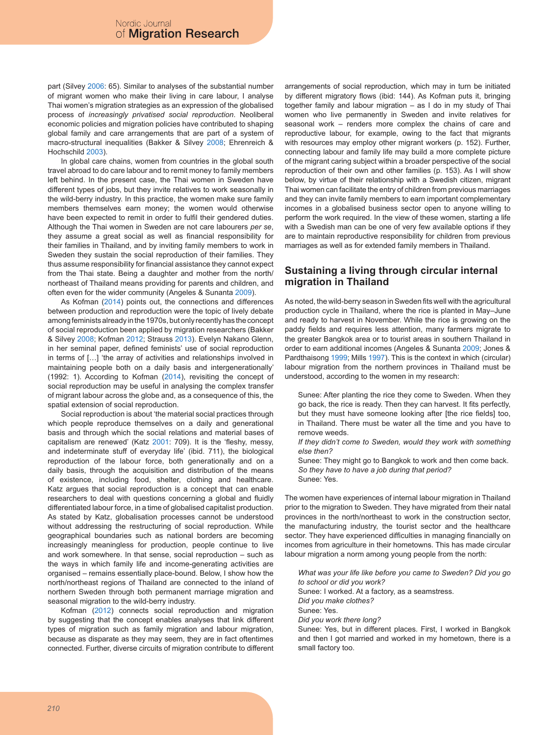part (Silvey 2006: 65). Similar to analyses of the substantial number of migrant women who make their living in care labour, I analyse Thai women's migration strategies as an expression of the globalised process of *increasingly privatised social reproduction*. Neoliberal economic policies and migration policies have contributed to shaping global family and care arrangements that are part of a system of macro-structural inequalities (Bakker & Silvey 2008; Ehrenreich & Hochschild 2003).

In global care chains, women from countries in the global south travel abroad to do care labour and to remit money to family members left behind. In the present case, the Thai women in Sweden have different types of jobs, but they invite relatives to work seasonally in the wild-berry industry. In this practice, the women make sure family members themselves earn money; the women would otherwise have been expected to remit in order to fulfil their gendered duties. Although the Thai women in Sweden are not care labourers *per se*, they assume a great social as well as financial responsibility for their families in Thailand, and by inviting family members to work in Sweden they sustain the social reproduction of their families. They thus assume responsibility for financial assistance they cannot expect from the Thai state. Being a daughter and mother from the north/ northeast of Thailand means providing for parents and children, and often even for the wider community (Angeles & Sunanta 2009).

As Kofman (2014) points out, the connections and differences between production and reproduction were the topic of lively debate among feminists already in the 1970s, but only recently has the concept of social reproduction been applied by migration researchers (Bakker & Silvey 2008; Kofman 2012; Strauss 2013). Evelyn Nakano Glenn, in her seminal paper, defined feminists' use of social reproduction in terms of [...] 'the array of activities and relationships involved in maintaining people both on a daily basis and intergenerationally' (1992: 1). According to Kofman (2014), revisiting the concept of social reproduction may be useful in analysing the complex transfer of migrant labour across the globe and, as a consequence of this, the spatial extension of social reproduction.

Social reproduction is about 'the material social practices through which people reproduce themselves on a daily and generational basis and through which the social relations and material bases of capitalism are renewed' (Katz 2001: 709). It is the 'fleshy, messy, and indeterminate stuff of everyday life' (ibid. 711), the biological reproduction of the labour force, both generationally and on a daily basis, through the acquisition and distribution of the means of existence, including food, shelter, clothing and healthcare. Katz argues that social reproduction is a concept that can enable researchers to deal with questions concerning a global and fluidly differentiated labour force, in a time of globalised capitalist production. As stated by Katz, globalisation processes cannot be understood without addressing the restructuring of social reproduction. While geographical boundaries such as national borders are becoming increasingly meaningless for production, people continue to live and work somewhere. In that sense, social reproduction – such as the ways in which family life and income-generating activities are organised – remains essentially place-bound. Below, I show how the north/northeast regions of Thailand are connected to the inland of northern Sweden through both permanent marriage migration and seasonal migration to the wild-berry industry.

Kofman (2012) connects social reproduction and migration by suggesting that the concept enables analyses that link different types of migration such as family migration and labour migration, because as disparate as they may seem, they are in fact oftentimes connected. Further, diverse circuits of migration contribute to different arrangements of social reproduction, which may in turn be initiated by different migratory flows (ibid: 144). As Kofman puts it, bringing together family and labour migration – as I do in my study of Thai women who live permanently in Sweden and invite relatives for seasonal work – renders more complex the chains of care and reproductive labour, for example, owing to the fact that migrants with resources may employ other migrant workers (p. 152). Further, connecting labour and family life may build a more complete picture of the migrant caring subject within a broader perspective of the social reproduction of their own and other families (p. 153). As I will show below, by virtue of their relationship with a Swedish citizen, migrant Thai women can facilitate the entry of children from previous marriages and they can invite family members to earn important complementary incomes in a globalised business sector open to anyone willing to perform the work required. In the view of these women, starting a life with a Swedish man can be one of very few available options if they are to maintain reproductive responsibility for children from previous marriages as well as for extended family members in Thailand.

### **Sustaining a living through circular internal migration in Thailand**

As noted, the wild-berry season in Sweden fits well with the agricultural production cycle in Thailand, where the rice is planted in May–June and ready to harvest in November. While the rice is growing on the paddy fields and requires less attention, many farmers migrate to the greater Bangkok area or to tourist areas in southern Thailand in order to earn additional incomes (Angeles & Sunanta 2009; Jones & Pardthaisong 1999; Mills 1997). This is the context in which (circular) labour migration from the northern provinces in Thailand must be understood, according to the women in my research:

Sunee: After planting the rice they come to Sweden. When they go back, the rice is ready. Then they can harvest. It fits perfectly, but they must have someone looking after [the rice fields] too, in Thailand. There must be water all the time and you have to remove weeds.

*If they didn't come to Sweden, would they work with something else then?*

Sunee: They might go to Bangkok to work and then come back. *So they have to have a job during that period?* Sunee: Yes.

The women have experiences of internal labour migration in Thailand prior to the migration to Sweden. They have migrated from their natal provinces in the north/northeast to work in the construction sector, the manufacturing industry, the tourist sector and the healthcare sector. They have experienced difficulties in managing financially on incomes from agriculture in their hometowns. This has made circular labour migration a norm among young people from the north:

*What was your life like before you came to Sweden? Did you go to school or did you work?* Sunee: I worked. At a factory, as a seamstress. *Did you make clothes?* Sunee: Yes. *Did you work there long?* Sunee: Yes, but in different places. First, I worked in Bangkok and then I got married and worked in my hometown, there is a

small factory too.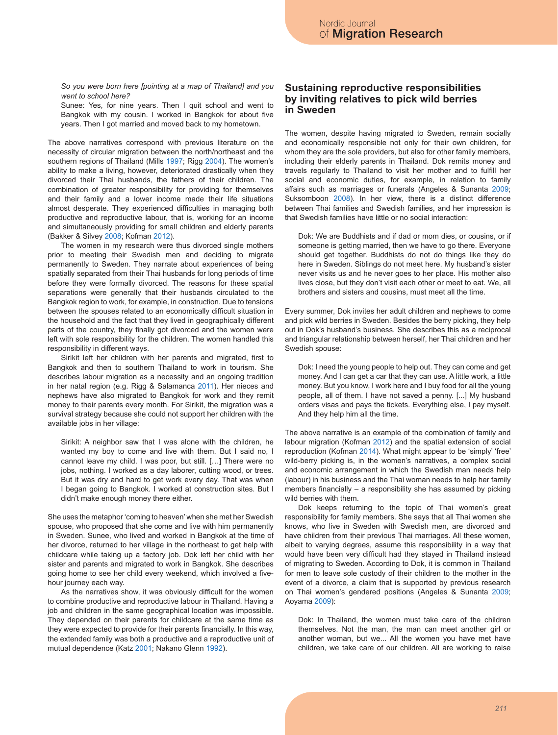*So you were born here [pointing at a map of Thailand] and you went to school here?*

Sunee: Yes, for nine years. Then I quit school and went to Bangkok with my cousin. I worked in Bangkok for about five years. Then I got married and moved back to my hometown.

The above narratives correspond with previous literature on the necessity of circular migration between the north/northeast and the southern regions of Thailand (Mills 1997; Rigg 2004). The women's ability to make a living, however, deteriorated drastically when they divorced their Thai husbands, the fathers of their children. The combination of greater responsibility for providing for themselves and their family and a lower income made their life situations almost desperate. They experienced difficulties in managing both productive and reproductive labour, that is, working for an income and simultaneously providing for small children and elderly parents (Bakker & Silvey 2008; Kofman 2012).

The women in my research were thus divorced single mothers prior to meeting their Swedish men and deciding to migrate permanently to Sweden. They narrate about experiences of being spatially separated from their Thai husbands for long periods of time before they were formally divorced. The reasons for these spatial separations were generally that their husbands circulated to the Bangkok region to work, for example, in construction. Due to tensions between the spouses related to an economically difficult situation in the household and the fact that they lived in geographically different parts of the country, they finally got divorced and the women were left with sole responsibility for the children. The women handled this responsibility in different ways.

Sirikit left her children with her parents and migrated, first to Bangkok and then to southern Thailand to work in tourism. She describes labour migration as a necessity and an ongoing tradition in her natal region (e.g. Rigg & Salamanca 2011). Her nieces and nephews have also migrated to Bangkok for work and they remit money to their parents every month. For Sirikit, the migration was a survival strategy because she could not support her children with the available jobs in her village:

Sirikit: A neighbor saw that I was alone with the children, he wanted my boy to come and live with them. But I said no, I cannot leave my child. I was poor, but still. […] There were no jobs, nothing. I worked as a day laborer, cutting wood, or trees. But it was dry and hard to get work every day. That was when I began going to Bangkok. I worked at construction sites. But I didn't make enough money there either.

She uses the metaphor 'coming to heaven' when she met her Swedish spouse, who proposed that she come and live with him permanently in Sweden. Sunee, who lived and worked in Bangkok at the time of her divorce, returned to her village in the northeast to get help with childcare while taking up a factory job. Dok left her child with her sister and parents and migrated to work in Bangkok. She describes going home to see her child every weekend, which involved a fivehour journey each way.

As the narratives show, it was obviously difficult for the women to combine productive and reproductive labour in Thailand. Having a job and children in the same geographical location was impossible. They depended on their parents for childcare at the same time as they were expected to provide for their parents financially. In this way, the extended family was both a productive and a reproductive unit of mutual dependence (Katz 2001; Nakano Glenn 1992).

#### **Sustaining reproductive responsibilities by inviting relatives to pick wild berries in Sweden**

The women, despite having migrated to Sweden, remain socially and economically responsible not only for their own children, for whom they are the sole providers, but also for other family members, including their elderly parents in Thailand. Dok remits money and travels regularly to Thailand to visit her mother and to fulfill her social and economic duties, for example, in relation to family affairs such as marriages or funerals (Angeles & Sunanta 2009; Suksomboon 2008). In her view, there is a distinct difference between Thai families and Swedish families, and her impression is that Swedish families have little or no social interaction:

Dok: We are Buddhists and if dad or mom dies, or cousins, or if someone is getting married, then we have to go there. Everyone should get together. Buddhists do not do things like they do here in Sweden. Siblings do not meet here. My husband's sister never visits us and he never goes to her place. His mother also lives close, but they don't visit each other or meet to eat. We, all brothers and sisters and cousins, must meet all the time.

Every summer, Dok invites her adult children and nephews to come and pick wild berries in Sweden. Besides the berry picking, they help out in Dok's husband's business. She describes this as a reciprocal and triangular relationship between herself, her Thai children and her Swedish spouse:

Dok: I need the young people to help out. They can come and get money. And I can get a car that they can use. A little work, a little money. But you know, I work here and I buy food for all the young people, all of them. I have not saved a penny. [...] My husband orders visas and pays the tickets. Everything else, I pay myself. And they help him all the time.

The above narrative is an example of the combination of family and labour migration (Kofman 2012) and the spatial extension of social reproduction (Kofman 2014). What might appear to be 'simply' 'free' wild-berry picking is, in the women's narratives, a complex social and economic arrangement in which the Swedish man needs help (labour) in his business and the Thai woman needs to help her family members financially – a responsibility she has assumed by picking wild berries with them.

Dok keeps returning to the topic of Thai women's great responsibility for family members. She says that all Thai women she knows, who live in Sweden with Swedish men, are divorced and have children from their previous Thai marriages. All these women, albeit to varying degrees, assume this responsibility in a way that would have been very difficult had they stayed in Thailand instead of migrating to Sweden. According to Dok, it is common in Thailand for men to leave sole custody of their children to the mother in the event of a divorce, a claim that is supported by previous research on Thai women's gendered positions (Angeles & Sunanta 2009; Aoyama 2009):

Dok: In Thailand, the women must take care of the children themselves. Not the man, the man can meet another girl or another woman, but we... All the women you have met have children, we take care of our children. All are working to raise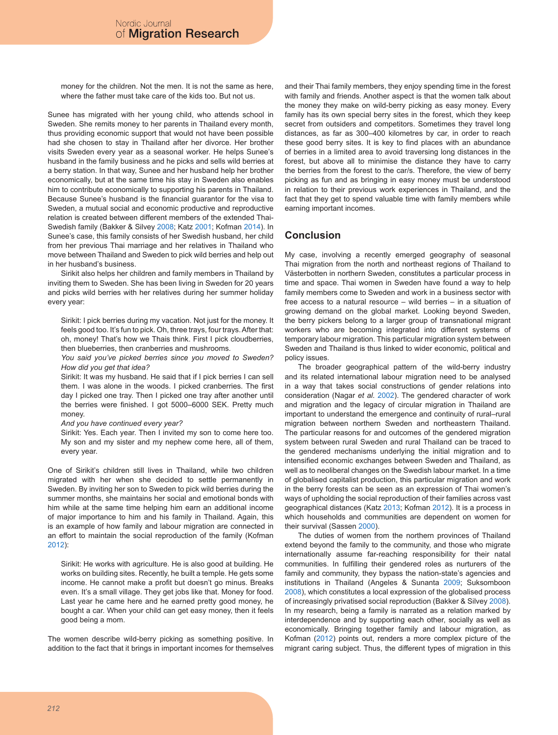money for the children. Not the men. It is not the same as here, where the father must take care of the kids too. But not us.

Sunee has migrated with her young child, who attends school in Sweden. She remits money to her parents in Thailand every month, thus providing economic support that would not have been possible had she chosen to stay in Thailand after her divorce. Her brother visits Sweden every year as a seasonal worker. He helps Sunee's husband in the family business and he picks and sells wild berries at a berry station. In that way, Sunee and her husband help her brother economically, but at the same time his stay in Sweden also enables him to contribute economically to supporting his parents in Thailand. Because Sunee's husband is the financial guarantor for the visa to Sweden, a mutual social and economic productive and reproductive relation is created between different members of the extended Thai-Swedish family (Bakker & Silvey 2008; Katz 2001; Kofman 2014). In Sunee's case, this family consists of her Swedish husband, her child from her previous Thai marriage and her relatives in Thailand who move between Thailand and Sweden to pick wild berries and help out in her husband's business.

Sirikit also helps her children and family members in Thailand by inviting them to Sweden. She has been living in Sweden for 20 years and picks wild berries with her relatives during her summer holiday every year:

Sirikit: I pick berries during my vacation. Not just for the money. It feels good too. It's fun to pick. Oh, three trays, four trays. After that: oh, money! That's how we Thais think. First I pick cloudberries, then blueberries, then cranberries and mushrooms.

*You said you've picked berries since you moved to Sweden? How did you get that idea?*

Sirikit: It was my husband. He said that if I pick berries I can sell them. I was alone in the woods. I picked cranberries. The first day I picked one tray. Then I picked one tray after another until the berries were finished. I got 5000–6000 SEK. Pretty much money.

*And you have continued every year?*

Sirikit: Yes. Each year. Then I invited my son to come here too. My son and my sister and my nephew come here, all of them, every year.

One of Sirikit's children still lives in Thailand, while two children migrated with her when she decided to settle permanently in Sweden. By inviting her son to Sweden to pick wild berries during the summer months, she maintains her social and emotional bonds with him while at the same time helping him earn an additional income of major importance to him and his family in Thailand. Again, this is an example of how family and labour migration are connected in an effort to maintain the social reproduction of the family (Kofman 2012):

Sirikit: He works with agriculture. He is also good at building. He works on building sites. Recently, he built a temple. He gets some income. He cannot make a profit but doesn't go minus. Breaks even. It's a small village. They get jobs like that. Money for food. Last year he came here and he earned pretty good money, he bought a car. When your child can get easy money, then it feels good being a mom.

The women describe wild-berry picking as something positive. In addition to the fact that it brings in important incomes for themselves and their Thai family members, they enjoy spending time in the forest with family and friends. Another aspect is that the women talk about the money they make on wild-berry picking as easy money. Every family has its own special berry sites in the forest, which they keep secret from outsiders and competitors. Sometimes they travel long distances, as far as 300–400 kilometres by car, in order to reach these good berry sites. It is key to find places with an abundance of berries in a limited area to avoid traversing long distances in the forest, but above all to minimise the distance they have to carry the berries from the forest to the car/s. Therefore, the view of berry picking as fun and as bringing in easy money must be understood in relation to their previous work experiences in Thailand, and the fact that they get to spend valuable time with family members while earning important incomes.

### **Conclusion**

My case, involving a recently emerged geography of seasonal Thai migration from the north and northeast regions of Thailand to Västerbotten in northern Sweden, constitutes a particular process in time and space. Thai women in Sweden have found a way to help family members come to Sweden and work in a business sector with free access to a natural resource – wild berries – in a situation of growing demand on the global market. Looking beyond Sweden, the berry pickers belong to a larger group of transnational migrant workers who are becoming integrated into different systems of temporary labour migration. This particular migration system between Sweden and Thailand is thus linked to wider economic, political and policy issues.

The broader geographical pattern of the wild-berry industry and its related international labour migration need to be analysed in a way that takes social constructions of gender relations into consideration (Nagar *et al*. 2002). The gendered character of work and migration and the legacy of circular migration in Thailand are important to understand the emergence and continuity of rural–rural migration between northern Sweden and northeastern Thailand. The particular reasons for and outcomes of the gendered migration system between rural Sweden and rural Thailand can be traced to the gendered mechanisms underlying the initial migration and to intensified economic exchanges between Sweden and Thailand, as well as to neoliberal changes on the Swedish labour market. In a time of globalised capitalist production, this particular migration and work in the berry forests can be seen as an expression of Thai women's ways of upholding the social reproduction of their families across vast geographical distances (Katz 2013; Kofman 2012). It is a process in which households and communities are dependent on women for their survival (Sassen 2000).

The duties of women from the northern provinces of Thailand extend beyond the family to the community, and those who migrate internationally assume far-reaching responsibility for their natal communities. In fulfilling their gendered roles as nurturers of the family and community, they bypass the nation-state's agencies and institutions in Thailand (Angeles & Sunanta 2009; Suksomboon 2008), which constitutes a local expression of the globalised process of increasingly privatised social reproduction (Bakker & Silvey 2008). In my research, being a family is narrated as a relation marked by interdependence and by supporting each other, socially as well as economically. Bringing together family and labour migration, as Kofman (2012) points out, renders a more complex picture of the migrant caring subject. Thus, the different types of migration in this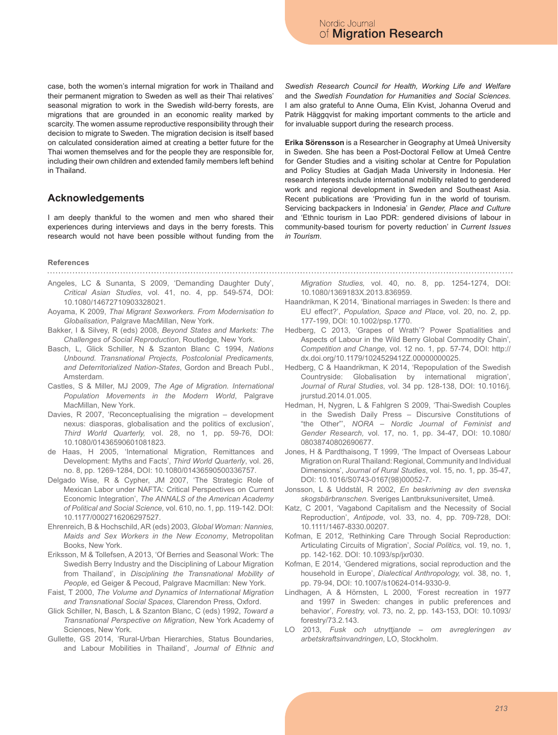case, both the women's internal migration for work in Thailand and their permanent migration to Sweden as well as their Thai relatives' seasonal migration to work in the Swedish wild-berry forests, are migrations that are grounded in an economic reality marked by scarcity. The women assume reproductive responsibility through their decision to migrate to Sweden. The migration decision is itself based on calculated consideration aimed at creating a better future for the Thai women themselves and for the people they are responsible for, including their own children and extended family members left behind in Thailand.

### **Acknowledgements**

I am deeply thankful to the women and men who shared their experiences during interviews and days in the berry forests. This research would not have been possible without funding from the

## **References**

- 
- Angeles, LC & Sunanta, S 2009, 'Demanding Daughter Duty', *Critical Asian Studies*, vol. 41, no. 4, pp. 549-574, DOI: 10.1080/14672710903328021.
- Aoyama, K 2009, *Thai Migrant Sexworkers. From Modernisation to Globalisation*, Palgrave MacMillan, New York.
- Bakker, I & Silvey, R (eds) 2008, *Beyond States and Markets: The Challenges of Social Reproduction*, Routledge, New York.
- Basch, L, Glick Schiller, N & Szanton Blanc C 1994, *Nations Unbound. Transnational Projects, Postcolonial Predicaments, and Deterritorialized Nation-States*, Gordon and Breach Publ., Amsterdam.
- Castles, S & Miller, MJ 2009, *The Age of Migration. International Population Movements in the Modern World*, Palgrave MacMillan, New York.
- Davies, R 2007, 'Reconceptualising the migration development nexus: diasporas, globalisation and the politics of exclusion', *Third World Quarterly,* vol. 28, no 1, pp. 59-76, DOI: 10.1080/01436590601081823.
- de Haas, H 2005, 'International Migration, Remittances and Development: Myths and Facts', *Third World Quarterly*, vol. 26, no. 8, pp. 1269-1284, DOI: 10.1080/01436590500336757.
- Delgado Wise, R & Cypher, JM 2007, 'The Strategic Role of Mexican Labor under NAFTA: Critical Perspectives on Current Economic Integration', *The ANNALS of the American Academy of Political and Social Science,* vol. 610, no. 1, pp. 119-142. DOI: 10.1177/0002716206297527.
- Ehrenreich, B & Hochschild, AR (eds) 2003, *Global Woman: Nannies, Maids and Sex Workers in the New Economy*, Metropolitan Books, New York.
- Eriksson, M & Tollefsen, A 2013, 'Of Berries and Seasonal Work: The Swedish Berry Industry and the Disciplining of Labour Migration from Thailand', in *Disciplining the Transnational Mobility of People*, ed Geiger & Pecoud, Palgrave Macmillan: New York.
- Faist, T 2000, *The Volume and Dynamics of International Migration and Transnational Social Spaces*, Clarendon Press, Oxford.
- Glick Schiller, N, Basch, L & Szanton Blanc, C (eds) 1992, *Toward a Transnational Perspective on Migration*, New York Academy of Sciences, New York.
- Gullette, GS 2014, 'Rural-Urban Hierarchies, Status Boundaries, and Labour Mobilities in Thailand', *Journal of Ethnic and*

*Swedish Research Council for Health, Working Life and Welfare* and the *Swedish Foundation for Humanities and Social Sciences*. I am also grateful to Anne Ouma, Elin Kvist, Johanna Overud and Patrik Häggqvist for making important comments to the article and for invaluable support during the research process.

**Erika Sörensson** is a Researcher in Geography at Umeå University in Sweden. She has been a Post-Doctoral Fellow at Umeå Centre for Gender Studies and a visiting scholar at Centre for Population and Policy Studies at Gadjah Mada University in Indonesia. Her research interests include international mobility related to gendered work and regional development in Sweden and Southeast Asia. Recent publications are 'Providing fun in the world of tourism. Servicing backpackers in Indonesia' in *Gender, Place and Culture*  and 'Ethnic tourism in Lao PDR: gendered divisions of labour in community-based tourism for poverty reduction' in *Current Issues in Tourism*.

*Migration Studies,* vol. 40, no. 8, pp. 1254-1274, DOI: 10.1080/1369183X.2013.836959.

- Haandrikman, K 2014, 'Binational marriages in Sweden: Is there and EU effect?', *Population, Space and Place,* vol. 20, no. 2, pp. 177-199, DOI: 10.1002/psp.1770.
- Hedberg, C 2013, 'Grapes of Wrath'? Power Spatialities and Aspects of Labour in the Wild Berry Global Commodity Chain', *Competition and Change,* vol. 12 no. 1, pp. 57-74, DOI: http:// dx.doi.org/10.1179/1024529412Z.00000000025.
- Hedberg, C & Haandrikman, K 2014, 'Repopulation of the Swedish Countryside: Globalisation by international migration', *Journal of Rural Studies*, vol. 34 pp. 128-138, DOI: 10.1016/j. jrurstud.2014.01.005.
- Hedman, H, Nygren, L & Fahlgren S 2009, 'Thai-Swedish Couples in the Swedish Daily Press – Discursive Constitutions of "the Other"', *NORA – Nordic Journal of Feminist and Gender Research,* vol. 17, no. 1, pp. 34-47, DOI: 10.1080/ 08038740802690677.
- Jones, H & Pardthaisong, T 1999, 'The Impact of Overseas Labour Migration on Rural Thailand: Regional, Community and Individual Dimensions', *Journal of Rural Studies*, vol. 15, no. 1, pp. 35-47, DOI: 10.1016/S0743-0167(98)00052-7.
- Jonsson, L & Uddstål, R 2002, *En beskrivning av den svenska skogsbärbranschen.* Sveriges Lantbruksuniversitet, Umeå.
- Katz, C 2001, 'Vagabond Capitalism and the Necessity of Social Reproduction', *Antipode*, vol. 33, no. 4, pp. 709-728, DOI: 10.1111/1467-8330.00207.
- Kofman, E 2012, 'Rethinking Care Through Social Reproduction: Articulating Circuits of Migration', *Social Politics,* vol. 19, no. 1, pp. 142-162. DOI: 10.1093/sp/jxr030.
- Kofman, E 2014, 'Gendered migrations, social reproduction and the household in Europe', *Dialectical Anthropology,* vol. 38, no. 1, pp. 79-94, DOI: 10.1007/s10624-014-9330-9.
- Lindhagen, A & Hörnsten, L 2000, 'Forest recreation in 1977 and 1997 in Sweden: changes in public preferences and behavior', *Forestry,* vol. 73, no. 2, pp. 143-153, DOI: 10.1093/ forestry/73.2.143.
- LO 2013, *Fusk och utnyttjande om avregleringen av arbetskraftsinvandringen*, LO, Stockholm.